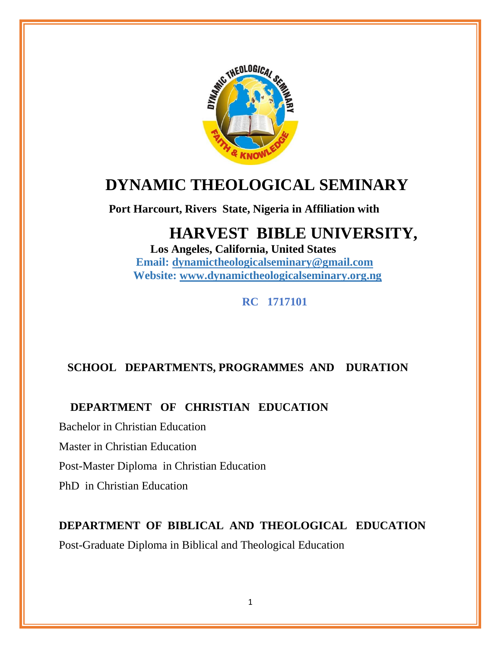

# **DYNAMIC THEOLOGICAL SEMINARY**

 **Port Harcourt, Rivers State, Nigeria in Affiliation with** 

# **HARVEST BIBLE UNIVERSITY,**

 **Los Angeles, California, United States Email: [dynamictheologicalseminary@gmail.com](mailto:dynamictheologicalseminary@gmail.com) Website: [www.dynamictheologicalseminary.org.ng](http://www.dynamictheologicalseminary.org.ng/)**

 **RC 1717101**

## **SCHOOL DEPARTMENTS, PROGRAMMES AND DURATION**

## **DEPARTMENT OF CHRISTIAN EDUCATION**

Bachelor in Christian Education

Master in Christian Education

Post-Master Diploma in Christian Education

PhD in Christian Education

# **DEPARTMENT OF BIBLICAL AND THEOLOGICAL EDUCATION**

Post-Graduate Diploma in Biblical and Theological Education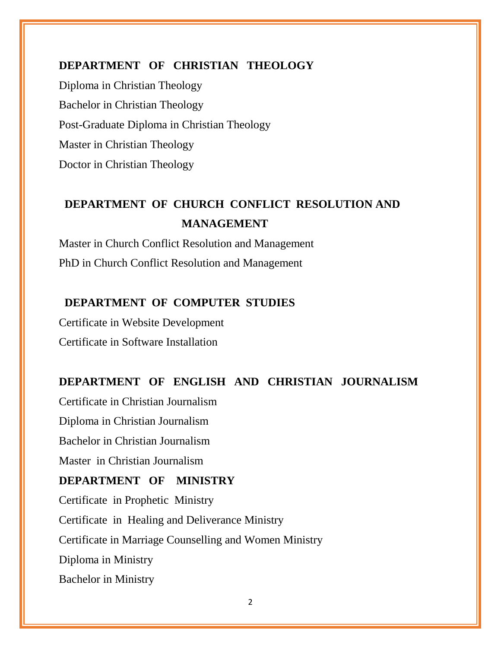### **DEPARTMENT OF CHRISTIAN THEOLOGY**

Diploma in Christian Theology Bachelor in Christian Theology Post-Graduate Diploma in Christian Theology Master in Christian Theology Doctor in Christian Theology

# **DEPARTMENT OF CHURCH CONFLICT RESOLUTION AND MANAGEMENT**

Master in Church Conflict Resolution and Management PhD in Church Conflict Resolution and Management

## **DEPARTMENT OF COMPUTER STUDIES**

Certificate in Website Development Certificate in Software Installation

## **DEPARTMENT OF ENGLISH AND CHRISTIAN JOURNALISM**

Certificate in Christian Journalism Diploma in Christian Journalism Bachelor in Christian Journalism Master in Christian Journalism **DEPARTMENT OF MINISTRY**  Certificate in Prophetic Ministry Certificate in Healing and Deliverance Ministry Certificate in Marriage Counselling and Women Ministry Diploma in Ministry Bachelor in Ministry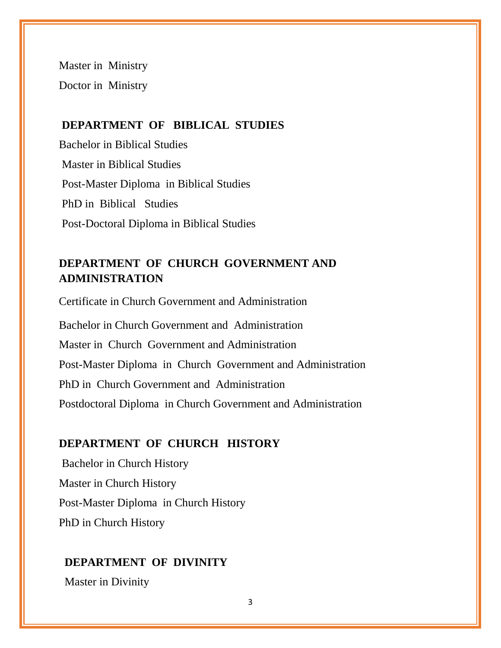Master in Ministry Doctor in Ministry

### **DEPARTMENT OF BIBLICAL STUDIES**

Bachelor in Biblical Studies Master in Biblical Studies Post-Master Diploma in Biblical Studies PhD in Biblical Studies Post-Doctoral Diploma in Biblical Studies

## **DEPARTMENT OF CHURCH GOVERNMENT AND ADMINISTRATION**

Certificate in Church Government and Administration Bachelor in Church Government and Administration Master in Church Government and Administration Post-Master Diploma in Church Government and Administration PhD in Church Government and Administration Postdoctoral Diploma in Church Government and Administration

### **DEPARTMENT OF CHURCH HISTORY**

Bachelor in Church History Master in Church History Post-Master Diploma in Church History PhD in Church History

#### **DEPARTMENT OF DIVINITY**

Master in Divinity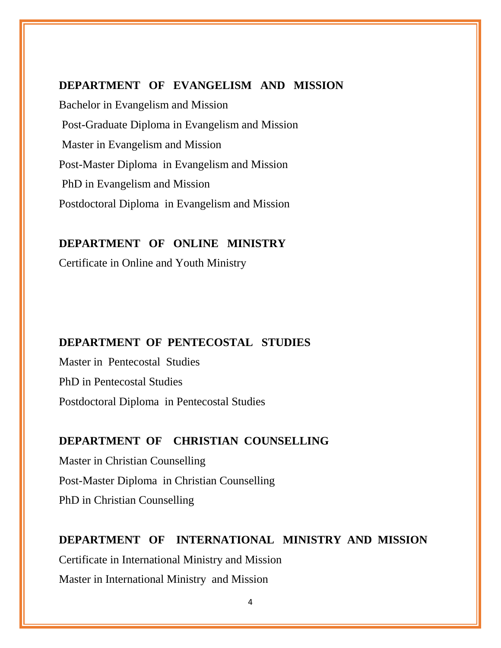#### **DEPARTMENT OF EVANGELISM AND MISSION**

Bachelor in Evangelism and Mission Post-Graduate Diploma in Evangelism and Mission Master in Evangelism and Mission Post-Master Diploma in Evangelism and Mission PhD in Evangelism and Mission Postdoctoral Diploma in Evangelism and Mission

### **DEPARTMENT OF ONLINE MINISTRY**

Certificate in Online and Youth Ministry

#### **DEPARTMENT OF PENTECOSTAL STUDIES**

Master in Pentecostal Studies PhD in Pentecostal Studies Postdoctoral Diploma in Pentecostal Studies

#### **DEPARTMENT OF CHRISTIAN COUNSELLING**

Master in Christian Counselling Post-Master Diploma in Christian Counselling PhD in Christian Counselling

# **DEPARTMENT OF INTERNATIONAL MINISTRY AND MISSION** Certificate in International Ministry and Mission Master in International Ministry and Mission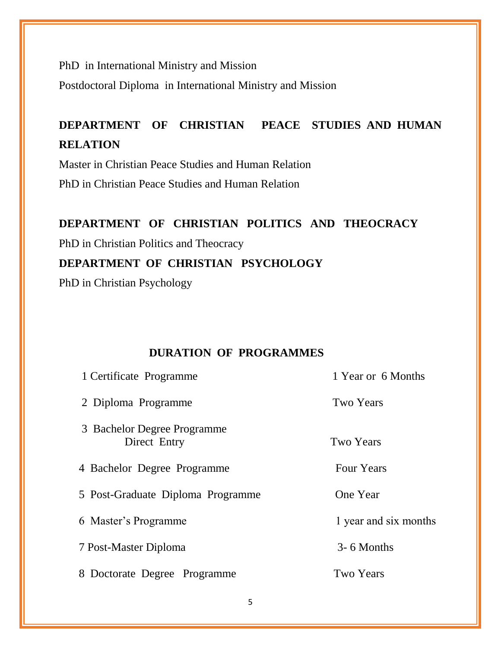PhD in International Ministry and Mission

Postdoctoral Diploma in International Ministry and Mission

# **DEPARTMENT OF CHRISTIAN PEACE STUDIES AND HUMAN RELATION**

Master in Christian Peace Studies and Human Relation

PhD in Christian Peace Studies and Human Relation

#### **DEPARTMENT OF CHRISTIAN POLITICS AND THEOCRACY**

PhD in Christian Politics and Theocracy

## **DEPARTMENT OF CHRISTIAN PSYCHOLOGY**

PhD in Christian Psychology

## **DURATION OF PROGRAMMES**

| 1 Certificate Programme                     | 1 Year or 6 Months    |
|---------------------------------------------|-----------------------|
| 2 Diploma Programme                         | Two Years             |
| 3 Bachelor Degree Programme<br>Direct Entry | <b>Two Years</b>      |
| 4 Bachelor Degree Programme                 | <b>Four Years</b>     |
| 5 Post-Graduate Diploma Programme           | One Year              |
| 6 Master's Programme                        | 1 year and six months |
| 7 Post-Master Diploma                       | 3-6 Months            |
| 8 Doctorate Degree Programme                | <b>Two Years</b>      |